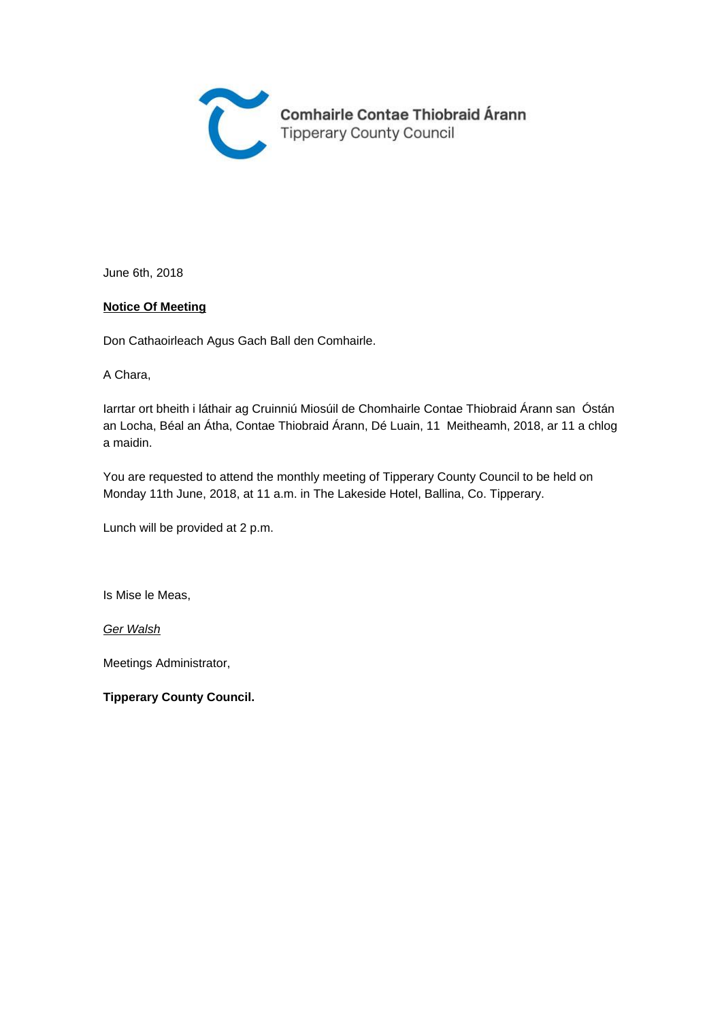

June 6th, 2018

#### **Notice Of Meeting**

Don Cathaoirleach Agus Gach Ball den Comhairle.

A Chara,

Iarrtar ort bheith i láthair ag Cruinniú Miosúil de Chomhairle Contae Thiobraid Árann san Óstán an Locha, Béal an Átha, Contae Thiobraid Árann, Dé Luain, 11 Meitheamh, 2018, ar 11 a chlog a maidin.

You are requested to attend the monthly meeting of Tipperary County Council to be held on Monday 11th June, 2018, at 11 a.m. in The Lakeside Hotel, Ballina, Co. Tipperary.

Lunch will be provided at 2 p.m.

Is Mise le Meas,

Ger Walsh

Meetings Administrator,

**Tipperary County Council.**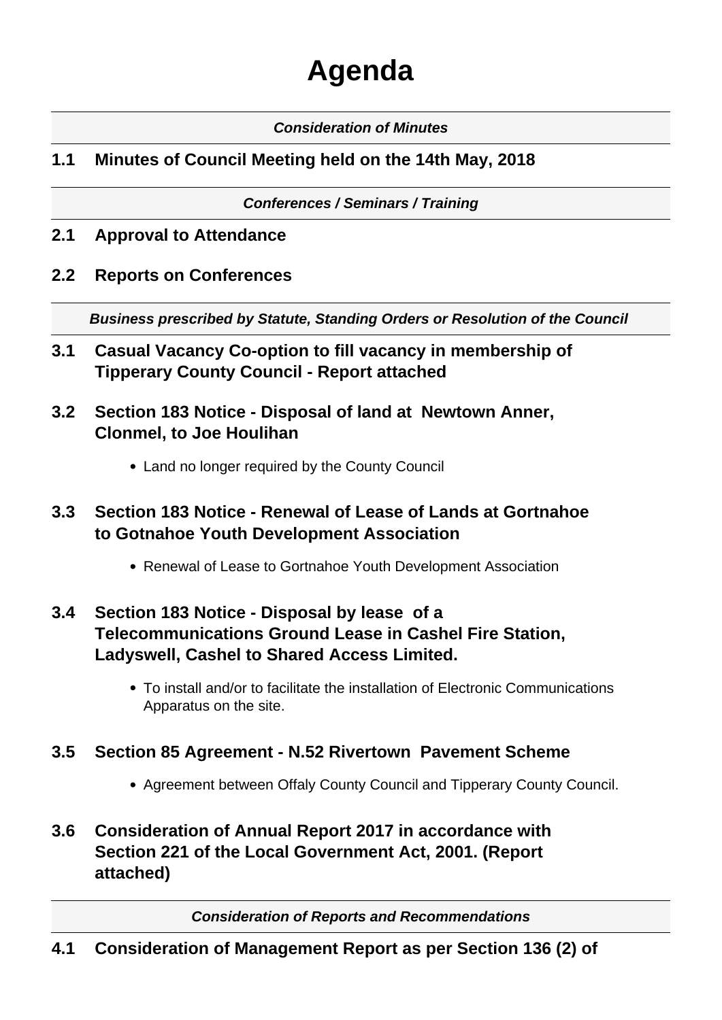# **Agenda**

#### **Consideration of Minutes**

# **1.1 Minutes of Council Meeting held on the 14th May, 2018**

#### **Conferences / Seminars / Training**

- **2.1 Approval to Attendance**
- **2.2 Reports on Conferences**

**Business prescribed by Statute, Standing Orders or Resolution of the Council** 

- **3.1 Casual Vacancy Co-option to fill vacancy in membership of Tipperary County Council - Report attached**
- **3.2 Section 183 Notice Disposal of land at Newtown Anner, Clonmel, to Joe Houlihan**
	- Land no longer required by the County Council

# **3.3 Section 183 Notice - Renewal of Lease of Lands at Gortnahoe to Gotnahoe Youth Development Association**

Renewal of Lease to Gortnahoe Youth Development Association

# **3.4 Section 183 Notice - Disposal by lease of a Telecommunications Ground Lease in Cashel Fire Station, Ladyswell, Cashel to Shared Access Limited.**

To install and/or to facilitate the installation of Electronic Communications Apparatus on the site.

## **3.5 Section 85 Agreement - N.52 Rivertown Pavement Scheme**

- Agreement between Offaly County Council and Tipperary County Council.
- **3.6 Consideration of Annual Report 2017 in accordance with Section 221 of the Local Government Act, 2001. (Report attached)**

**Consideration of Reports and Recommendations**

# **4.1 Consideration of Management Report as per Section 136 (2) of**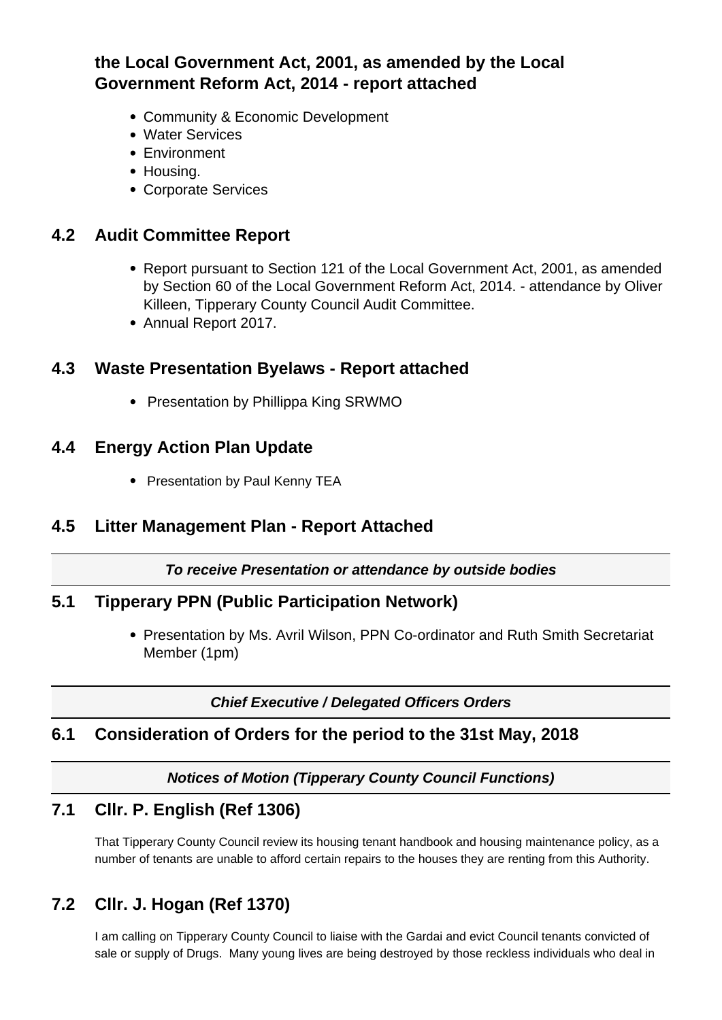# **the Local Government Act, 2001, as amended by the Local Government Reform Act, 2014 - report attached**

- Community & Economic Development
- Water Services
- Environment
- Housing.
- Corporate Services

## **4.2 Audit Committee Report**

- Report pursuant to Section 121 of the Local Government Act, 2001, as amended by Section 60 of the Local Government Reform Act, 2014. - attendance by Oliver Killeen, Tipperary County Council Audit Committee.
- Annual Report 2017.

## **4.3 Waste Presentation Byelaws - Report attached**

• Presentation by Phillippa King SRWMO

## **4.4 Energy Action Plan Update**

• Presentation by Paul Kenny TEA

## **4.5 Litter Management Plan - Report Attached**

#### **To receive Presentation or attendance by outside bodies**

#### **5.1 Tipperary PPN (Public Participation Network)**

• Presentation by Ms. Avril Wilson, PPN Co-ordinator and Ruth Smith Secretariat Member (1pm)

**Chief Executive / Delegated Officers Orders**

#### **6.1 Consideration of Orders for the period to the 31st May, 2018**

#### **Notices of Motion (Tipperary County Council Functions)**

# **7.1 Cllr. P. English (Ref 1306)**

That Tipperary County Council review its housing tenant handbook and housing maintenance policy, as a number of tenants are unable to afford certain repairs to the houses they are renting from this Authority.

# **7.2 Cllr. J. Hogan (Ref 1370)**

I am calling on Tipperary County Council to liaise with the Gardai and evict Council tenants convicted of sale or supply of Drugs. Many young lives are being destroyed by those reckless individuals who deal in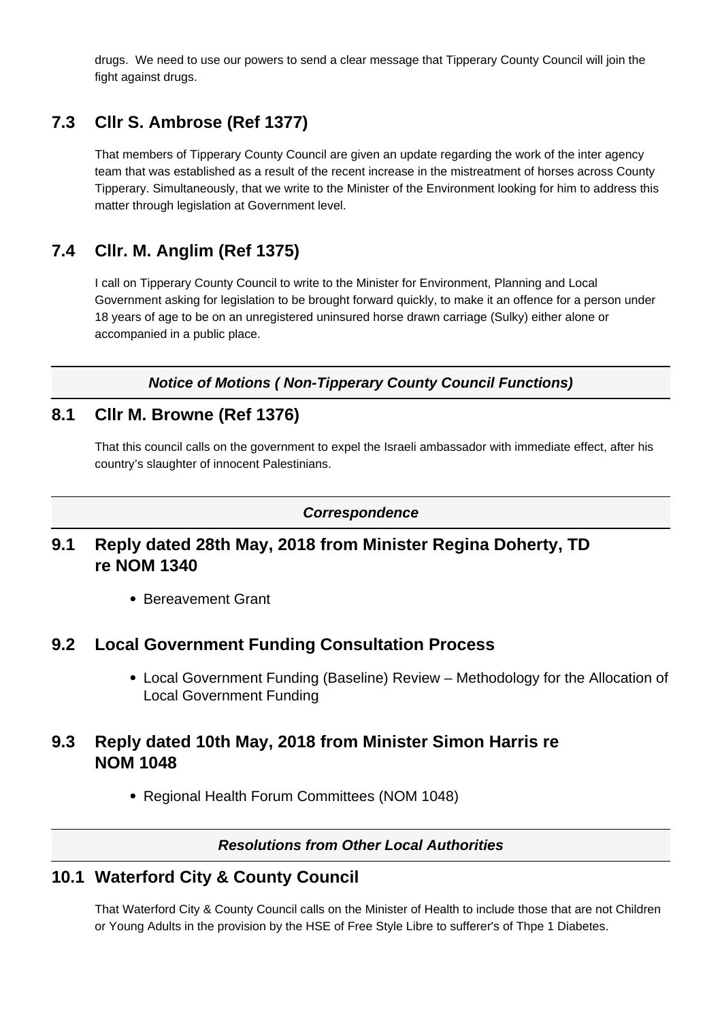drugs. We need to use our powers to send a clear message that Tipperary County Council will join the fight against drugs.

# **7.3 Cllr S. Ambrose (Ref 1377)**

That members of Tipperary County Council are given an update regarding the work of the inter agency team that was established as a result of the recent increase in the mistreatment of horses across County Tipperary. Simultaneously, that we write to the Minister of the Environment looking for him to address this matter through legislation at Government level.

# **7.4 Cllr. M. Anglim (Ref 1375)**

I call on Tipperary County Council to write to the Minister for Environment, Planning and Local Government asking for legislation to be brought forward quickly, to make it an offence for a person under 18 years of age to be on an unregistered uninsured horse drawn carriage (Sulky) either alone or accompanied in a public place.

**Notice of Motions ( Non-Tipperary County Council Functions)**

## **8.1 Cllr M. Browne (Ref 1376)**

That this council calls on the government to expel the Israeli ambassador with immediate effect, after his country's slaughter of innocent Palestinians.

#### **Correspondence**

## **9.1 Reply dated 28th May, 2018 from Minister Regina Doherty, TD re NOM 1340**

• Bereavement Grant

#### **9.2 Local Government Funding Consultation Process**

Local Government Funding (Baseline) Review – Methodology for the Allocation of Local Government Funding

## **9.3 Reply dated 10th May, 2018 from Minister Simon Harris re NOM 1048**

• Regional Health Forum Committees (NOM 1048)

#### **Resolutions from Other Local Authorities**

#### **10.1 Waterford City & County Council**

That Waterford City & County Council calls on the Minister of Health to include those that are not Children or Young Adults in the provision by the HSE of Free Style Libre to sufferer's of Thpe 1 Diabetes.